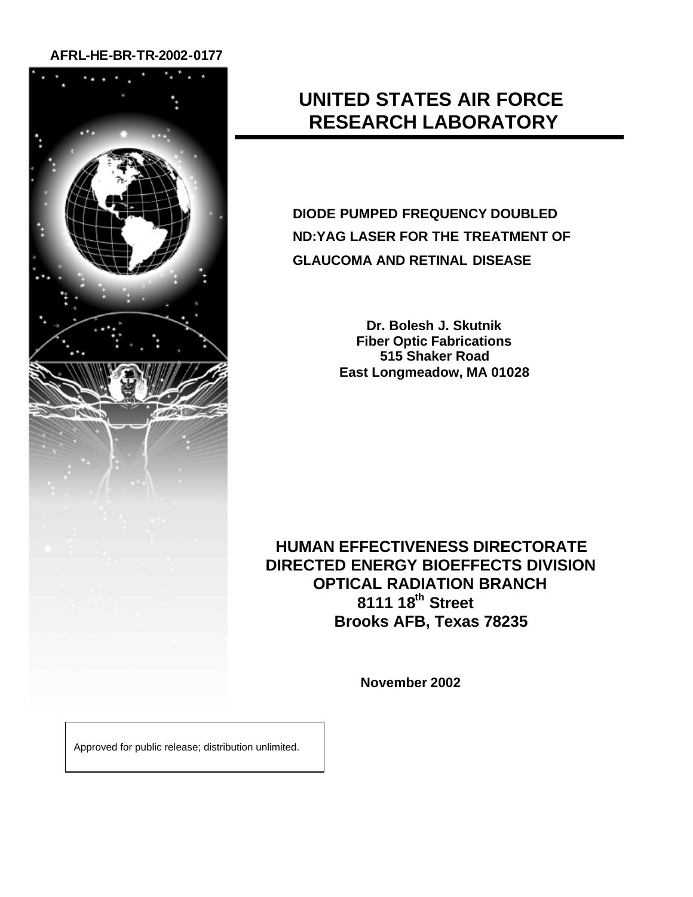## **AFRL-HE-BR-TR-2002-0177**



## **UNITED STATES AIR FORCE RESEARCH LABORATORY**

**DIODE PUMPED FREQUENCY DOUBLED ND:YAG LASER FOR THE TREATMENT OF GLAUCOMA AND RETINAL DISEASE**

> **Dr. Bolesh J. Skutnik Fiber Optic Fabrications 515 Shaker Road East Longmeadow, MA 01028**

**HUMAN EFFECTIVENESS DIRECTORATE DIRECTED ENERGY BIOEFFECTS DIVISION OPTICAL RADIATION BRANCH 8111 18th Street Brooks AFB, Texas 78235**

**November 2002**

Approved for public release; distribution unlimited.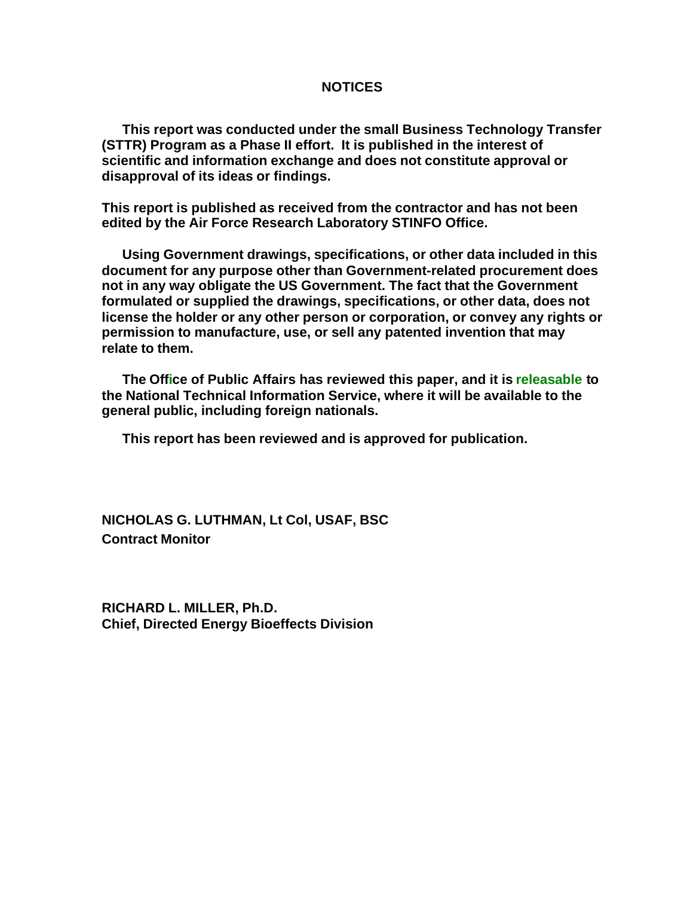### **NOTICES**

**This report was conducted under the small Business Technology Transfer (STTR) Program as a Phase II effort. It is published in the interest of scientific and information exchange and does not constitute approval or disapproval of its ideas or findings.**

**This report is published as received from the contractor and has not been edited by the Air Force Research Laboratory STINFO Office.**

**Using Government drawings, specifications, or other data included in this document for any purpose other than Government-related procurement does not in any way obligate the US Government. The fact that the Government formulated or supplied the drawings, specifications, or other data, does not license the holder or any other person or corporation, or convey any rights or permission to manufacture, use, or sell any patented invention that may relate to them.**

**The Office of Public Affairs has reviewed this paper, and it is releasable to the National Technical Information Service, where it will be available to the general public, including foreign nationals.**

**This report has been reviewed and is approved for publication.**

**NICHOLAS G. LUTHMAN, Lt Col, USAF, BSC Contract Monitor**

**RICHARD L. MILLER, Ph.D. Chief, Directed Energy Bioeffects Division**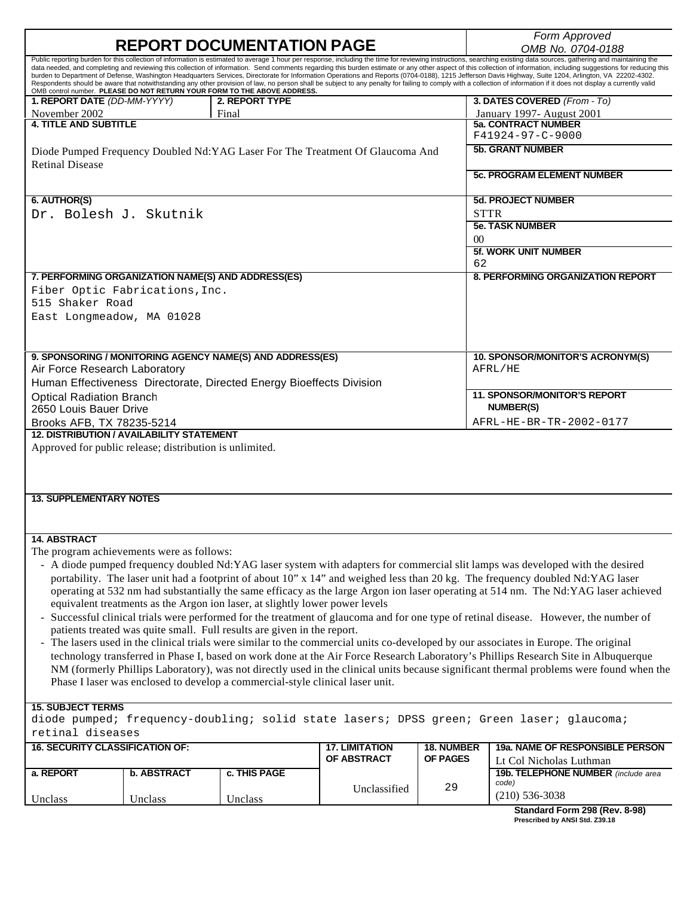| <b>14. ABSTRACT</b><br>The program achievements were as follows:<br><b>15. SUBJECT TERMS</b><br>retinal diseases<br><b>16. SECURITY CLASSIFICATION OF:</b><br>a. REPORT<br>Unclass | <b>b. ABSTRACT</b><br>Unclass | equivalent treatments as the Argon ion laser, at slightly lower power levels<br>patients treated was quite small. Full results are given in the report.<br>Phase I laser was enclosed to develop a commercial-style clinical laser unit.<br>c. THIS PAGE<br>Unclass | <b>17. LIMITATION</b><br>OF ABSTRACT<br>Unclassified                           | <b>18. NUMBER</b><br><b>OF PAGES</b><br>29 | - A diode pumped frequency doubled Nd:YAG laser system with adapters for commercial slit lamps was developed with the desired<br>portability. The laser unit had a footprint of about 10" x 14" and weighed less than 20 kg. The frequency doubled Nd:YAG laser<br>operating at 532 nm had substantially the same efficacy as the large Argon ion laser operating at 514 nm. The Nd:YAG laser achieved<br>Successful clinical trials were performed for the treatment of glaucoma and for one type of retinal disease. However, the number of<br>The lasers used in the clinical trials were similar to the commercial units co-developed by our associates in Europe. The original<br>technology transferred in Phase I, based on work done at the Air Force Research Laboratory's Phillips Research Site in Albuquerque<br>diode pumped; frequency-doubling; solid state lasers; DPSS green; Green laser; glaucoma;<br>19a. NAME OF RESPONSIBLE PERSON<br>Lt Col Nicholas Luthman<br>19b. TELEPHONE NUMBER (include area<br>code)<br>$(210)$ 536-3038 |
|------------------------------------------------------------------------------------------------------------------------------------------------------------------------------------|-------------------------------|---------------------------------------------------------------------------------------------------------------------------------------------------------------------------------------------------------------------------------------------------------------------|--------------------------------------------------------------------------------|--------------------------------------------|---------------------------------------------------------------------------------------------------------------------------------------------------------------------------------------------------------------------------------------------------------------------------------------------------------------------------------------------------------------------------------------------------------------------------------------------------------------------------------------------------------------------------------------------------------------------------------------------------------------------------------------------------------------------------------------------------------------------------------------------------------------------------------------------------------------------------------------------------------------------------------------------------------------------------------------------------------------------------------------------------------------------------------------------------------|
|                                                                                                                                                                                    |                               |                                                                                                                                                                                                                                                                     |                                                                                |                                            | NM (formerly Phillips Laboratory), was not directly used in the clinical units because significant thermal problems were found when the                                                                                                                                                                                                                                                                                                                                                                                                                                                                                                                                                                                                                                                                                                                                                                                                                                                                                                                 |
|                                                                                                                                                                                    |                               |                                                                                                                                                                                                                                                                     |                                                                                |                                            |                                                                                                                                                                                                                                                                                                                                                                                                                                                                                                                                                                                                                                                                                                                                                                                                                                                                                                                                                                                                                                                         |
|                                                                                                                                                                                    |                               |                                                                                                                                                                                                                                                                     |                                                                                |                                            |                                                                                                                                                                                                                                                                                                                                                                                                                                                                                                                                                                                                                                                                                                                                                                                                                                                                                                                                                                                                                                                         |
|                                                                                                                                                                                    |                               |                                                                                                                                                                                                                                                                     |                                                                                |                                            |                                                                                                                                                                                                                                                                                                                                                                                                                                                                                                                                                                                                                                                                                                                                                                                                                                                                                                                                                                                                                                                         |
|                                                                                                                                                                                    |                               |                                                                                                                                                                                                                                                                     |                                                                                |                                            |                                                                                                                                                                                                                                                                                                                                                                                                                                                                                                                                                                                                                                                                                                                                                                                                                                                                                                                                                                                                                                                         |
|                                                                                                                                                                                    |                               |                                                                                                                                                                                                                                                                     |                                                                                |                                            |                                                                                                                                                                                                                                                                                                                                                                                                                                                                                                                                                                                                                                                                                                                                                                                                                                                                                                                                                                                                                                                         |
|                                                                                                                                                                                    |                               |                                                                                                                                                                                                                                                                     |                                                                                |                                            |                                                                                                                                                                                                                                                                                                                                                                                                                                                                                                                                                                                                                                                                                                                                                                                                                                                                                                                                                                                                                                                         |
|                                                                                                                                                                                    |                               |                                                                                                                                                                                                                                                                     |                                                                                |                                            |                                                                                                                                                                                                                                                                                                                                                                                                                                                                                                                                                                                                                                                                                                                                                                                                                                                                                                                                                                                                                                                         |
|                                                                                                                                                                                    |                               |                                                                                                                                                                                                                                                                     |                                                                                |                                            |                                                                                                                                                                                                                                                                                                                                                                                                                                                                                                                                                                                                                                                                                                                                                                                                                                                                                                                                                                                                                                                         |
|                                                                                                                                                                                    |                               |                                                                                                                                                                                                                                                                     |                                                                                |                                            |                                                                                                                                                                                                                                                                                                                                                                                                                                                                                                                                                                                                                                                                                                                                                                                                                                                                                                                                                                                                                                                         |
|                                                                                                                                                                                    |                               |                                                                                                                                                                                                                                                                     |                                                                                |                                            |                                                                                                                                                                                                                                                                                                                                                                                                                                                                                                                                                                                                                                                                                                                                                                                                                                                                                                                                                                                                                                                         |
|                                                                                                                                                                                    |                               |                                                                                                                                                                                                                                                                     |                                                                                |                                            |                                                                                                                                                                                                                                                                                                                                                                                                                                                                                                                                                                                                                                                                                                                                                                                                                                                                                                                                                                                                                                                         |
|                                                                                                                                                                                    |                               |                                                                                                                                                                                                                                                                     |                                                                                |                                            |                                                                                                                                                                                                                                                                                                                                                                                                                                                                                                                                                                                                                                                                                                                                                                                                                                                                                                                                                                                                                                                         |
|                                                                                                                                                                                    |                               |                                                                                                                                                                                                                                                                     |                                                                                |                                            |                                                                                                                                                                                                                                                                                                                                                                                                                                                                                                                                                                                                                                                                                                                                                                                                                                                                                                                                                                                                                                                         |
|                                                                                                                                                                                    |                               |                                                                                                                                                                                                                                                                     |                                                                                |                                            |                                                                                                                                                                                                                                                                                                                                                                                                                                                                                                                                                                                                                                                                                                                                                                                                                                                                                                                                                                                                                                                         |
|                                                                                                                                                                                    |                               |                                                                                                                                                                                                                                                                     |                                                                                |                                            |                                                                                                                                                                                                                                                                                                                                                                                                                                                                                                                                                                                                                                                                                                                                                                                                                                                                                                                                                                                                                                                         |
| <b>13. SUPPLEMENTARY NOTES</b>                                                                                                                                                     |                               |                                                                                                                                                                                                                                                                     |                                                                                |                                            |                                                                                                                                                                                                                                                                                                                                                                                                                                                                                                                                                                                                                                                                                                                                                                                                                                                                                                                                                                                                                                                         |
|                                                                                                                                                                                    |                               |                                                                                                                                                                                                                                                                     |                                                                                |                                            |                                                                                                                                                                                                                                                                                                                                                                                                                                                                                                                                                                                                                                                                                                                                                                                                                                                                                                                                                                                                                                                         |
|                                                                                                                                                                                    |                               |                                                                                                                                                                                                                                                                     |                                                                                |                                            |                                                                                                                                                                                                                                                                                                                                                                                                                                                                                                                                                                                                                                                                                                                                                                                                                                                                                                                                                                                                                                                         |
| Approved for public release; distribution is unlimited.                                                                                                                            |                               |                                                                                                                                                                                                                                                                     |                                                                                |                                            |                                                                                                                                                                                                                                                                                                                                                                                                                                                                                                                                                                                                                                                                                                                                                                                                                                                                                                                                                                                                                                                         |
| <b>12. DISTRIBUTION / AVAILABILITY STATEMENT</b>                                                                                                                                   |                               |                                                                                                                                                                                                                                                                     |                                                                                |                                            |                                                                                                                                                                                                                                                                                                                                                                                                                                                                                                                                                                                                                                                                                                                                                                                                                                                                                                                                                                                                                                                         |
| 2650 Louis Bauer Drive<br>Brooks AFB, TX 78235-5214                                                                                                                                |                               |                                                                                                                                                                                                                                                                     |                                                                                |                                            | <b>NUMBER(S)</b><br>AFRL-HE-BR-TR-2002-0177                                                                                                                                                                                                                                                                                                                                                                                                                                                                                                                                                                                                                                                                                                                                                                                                                                                                                                                                                                                                             |
| <b>Optical Radiation Branch</b>                                                                                                                                                    |                               |                                                                                                                                                                                                                                                                     |                                                                                |                                            | <b>11. SPONSOR/MONITOR'S REPORT</b>                                                                                                                                                                                                                                                                                                                                                                                                                                                                                                                                                                                                                                                                                                                                                                                                                                                                                                                                                                                                                     |
|                                                                                                                                                                                    |                               | Human Effectiveness Directorate, Directed Energy Bioeffects Division                                                                                                                                                                                                |                                                                                |                                            |                                                                                                                                                                                                                                                                                                                                                                                                                                                                                                                                                                                                                                                                                                                                                                                                                                                                                                                                                                                                                                                         |
| Air Force Research Laboratory                                                                                                                                                      |                               | 9. SPONSORING / MONITORING AGENCY NAME(S) AND ADDRESS(ES)                                                                                                                                                                                                           |                                                                                |                                            | 10. SPONSOR/MONITOR'S ACRONYM(S)<br>AFRL/HE                                                                                                                                                                                                                                                                                                                                                                                                                                                                                                                                                                                                                                                                                                                                                                                                                                                                                                                                                                                                             |
|                                                                                                                                                                                    |                               |                                                                                                                                                                                                                                                                     |                                                                                |                                            |                                                                                                                                                                                                                                                                                                                                                                                                                                                                                                                                                                                                                                                                                                                                                                                                                                                                                                                                                                                                                                                         |
|                                                                                                                                                                                    |                               |                                                                                                                                                                                                                                                                     |                                                                                |                                            |                                                                                                                                                                                                                                                                                                                                                                                                                                                                                                                                                                                                                                                                                                                                                                                                                                                                                                                                                                                                                                                         |
| East Longmeadow, MA 01028                                                                                                                                                          |                               |                                                                                                                                                                                                                                                                     |                                                                                |                                            |                                                                                                                                                                                                                                                                                                                                                                                                                                                                                                                                                                                                                                                                                                                                                                                                                                                                                                                                                                                                                                                         |
| Fiber Optic Fabrications, Inc.<br>515 Shaker Road                                                                                                                                  |                               |                                                                                                                                                                                                                                                                     |                                                                                |                                            |                                                                                                                                                                                                                                                                                                                                                                                                                                                                                                                                                                                                                                                                                                                                                                                                                                                                                                                                                                                                                                                         |
|                                                                                                                                                                                    |                               | 7. PERFORMING ORGANIZATION NAME(S) AND ADDRESS(ES)                                                                                                                                                                                                                  |                                                                                |                                            | <b>8. PERFORMING ORGANIZATION REPORT</b>                                                                                                                                                                                                                                                                                                                                                                                                                                                                                                                                                                                                                                                                                                                                                                                                                                                                                                                                                                                                                |
|                                                                                                                                                                                    |                               |                                                                                                                                                                                                                                                                     |                                                                                | 62                                         |                                                                                                                                                                                                                                                                                                                                                                                                                                                                                                                                                                                                                                                                                                                                                                                                                                                                                                                                                                                                                                                         |
|                                                                                                                                                                                    |                               |                                                                                                                                                                                                                                                                     |                                                                                | $\Omega$                                   | <b>5f. WORK UNIT NUMBER</b>                                                                                                                                                                                                                                                                                                                                                                                                                                                                                                                                                                                                                                                                                                                                                                                                                                                                                                                                                                                                                             |
|                                                                                                                                                                                    |                               |                                                                                                                                                                                                                                                                     |                                                                                |                                            | <b>5e. TASK NUMBER</b>                                                                                                                                                                                                                                                                                                                                                                                                                                                                                                                                                                                                                                                                                                                                                                                                                                                                                                                                                                                                                                  |
| Dr. Bolesh J. Skutnik                                                                                                                                                              |                               |                                                                                                                                                                                                                                                                     |                                                                                | <b>STTR</b>                                |                                                                                                                                                                                                                                                                                                                                                                                                                                                                                                                                                                                                                                                                                                                                                                                                                                                                                                                                                                                                                                                         |
| 6. AUTHOR(S)                                                                                                                                                                       |                               |                                                                                                                                                                                                                                                                     |                                                                                |                                            | <b>5d. PROJECT NUMBER</b>                                                                                                                                                                                                                                                                                                                                                                                                                                                                                                                                                                                                                                                                                                                                                                                                                                                                                                                                                                                                                               |
|                                                                                                                                                                                    |                               |                                                                                                                                                                                                                                                                     |                                                                                |                                            | <b>5c. PROGRAM ELEMENT NUMBER</b>                                                                                                                                                                                                                                                                                                                                                                                                                                                                                                                                                                                                                                                                                                                                                                                                                                                                                                                                                                                                                       |
| <b>Retinal Disease</b>                                                                                                                                                             |                               |                                                                                                                                                                                                                                                                     | Diode Pumped Frequency Doubled Nd: YAG Laser For The Treatment Of Glaucoma And |                                            |                                                                                                                                                                                                                                                                                                                                                                                                                                                                                                                                                                                                                                                                                                                                                                                                                                                                                                                                                                                                                                                         |
|                                                                                                                                                                                    |                               |                                                                                                                                                                                                                                                                     |                                                                                |                                            | F41924-97-C-9000<br><b>5b. GRANT NUMBER</b>                                                                                                                                                                                                                                                                                                                                                                                                                                                                                                                                                                                                                                                                                                                                                                                                                                                                                                                                                                                                             |
| <b>4. TITLE AND SUBTITLE</b>                                                                                                                                                       |                               |                                                                                                                                                                                                                                                                     |                                                                                |                                            | <b>5a. CONTRACT NUMBER</b>                                                                                                                                                                                                                                                                                                                                                                                                                                                                                                                                                                                                                                                                                                                                                                                                                                                                                                                                                                                                                              |
|                                                                                                                                                                                    |                               | Final                                                                                                                                                                                                                                                               |                                                                                |                                            | January 1997- August 2001                                                                                                                                                                                                                                                                                                                                                                                                                                                                                                                                                                                                                                                                                                                                                                                                                                                                                                                                                                                                                               |
| November 2002                                                                                                                                                                      |                               | OMB control number. PLEASE DO NOT RETURN YOUR FORM TO THE ABOVE ADDRESS.<br>2. REPORT TYPE                                                                                                                                                                          |                                                                                |                                            | 3. DATES COVERED (From - To)                                                                                                                                                                                                                                                                                                                                                                                                                                                                                                                                                                                                                                                                                                                                                                                                                                                                                                                                                                                                                            |
| 1. REPORT DATE (DD-MM-YYYY)                                                                                                                                                        |                               |                                                                                                                                                                                                                                                                     |                                                                                |                                            | data needed, and completing and reviewing this collection of information. Send comments regarding this burden estimate or any other aspect of this collection of information, including suggestions for reducing this<br>burden to Department of Defense, Washington Headquarters Services, Directorate for Information Operations and Reports (0704-0188), 1215 Jefferson Davis Highway, Suite 1204, Arlington, VA 22202-4302.<br>Respondents should be aware that notwithstanding any other provision of law, no person shall be subject to any penalty for failing to comply with a collection of information if it does not display a currently valid                                                                                                                                                                                                                                                                                                                                                                                               |
|                                                                                                                                                                                    |                               |                                                                                                                                                                                                                                                                     |                                                                                |                                            | Public reporting burden for this collection of information is estimated to average 1 hour per response, including the time for reviewing instructions, searching existing data sources, gathering and maintaining the                                                                                                                                                                                                                                                                                                                                                                                                                                                                                                                                                                                                                                                                                                                                                                                                                                   |
|                                                                                                                                                                                    |                               |                                                                                                                                                                                                                                                                     | <b>REPORT DOCUMENTATION PAGE</b>                                               |                                            | OMB No. 0704-0188                                                                                                                                                                                                                                                                                                                                                                                                                                                                                                                                                                                                                                                                                                                                                                                                                                                                                                                                                                                                                                       |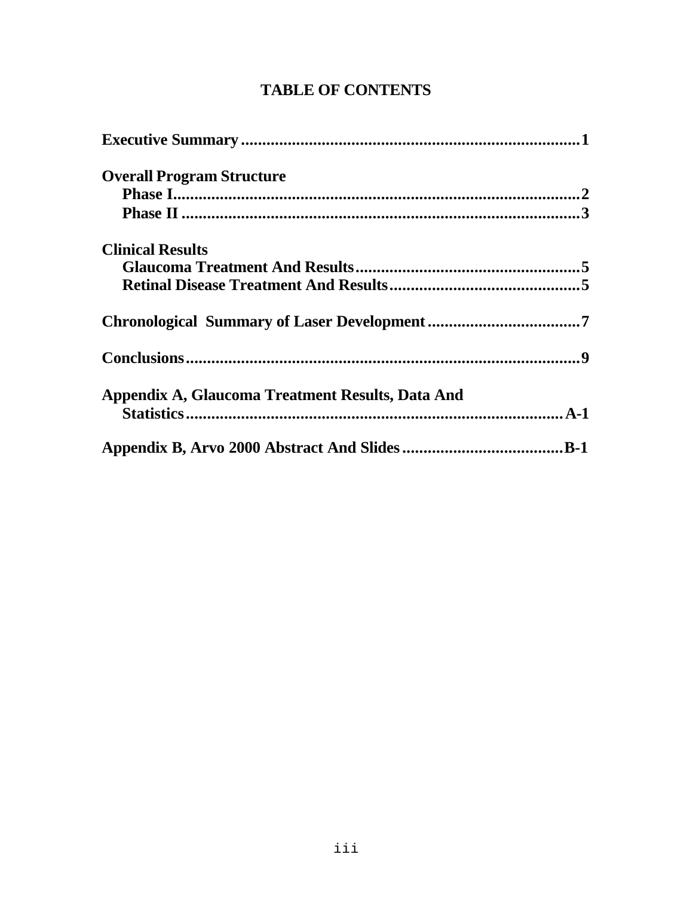| <b>Overall Program Structure</b>                 |  |
|--------------------------------------------------|--|
|                                                  |  |
|                                                  |  |
| <b>Clinical Results</b>                          |  |
|                                                  |  |
|                                                  |  |
|                                                  |  |
|                                                  |  |
| Appendix A, Glaucoma Treatment Results, Data And |  |
|                                                  |  |

## **TABLE OF CONTENTS**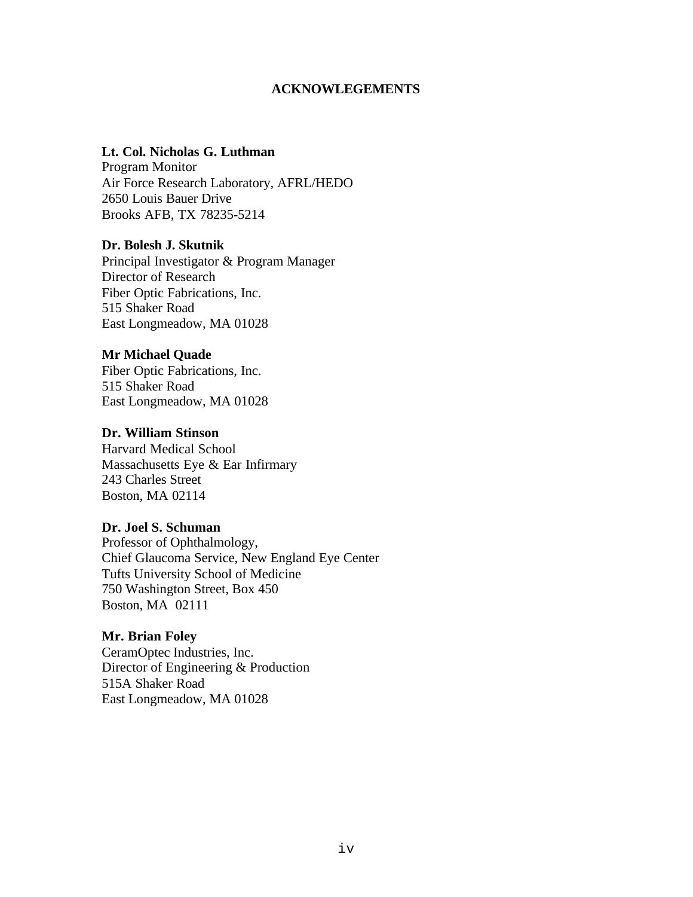### **ACKNOWLEGEMENTS**

## **Lt. Col. Nicholas G. Luthman**

Program Monitor Air Force Research Laboratory, AFRL/HEDO 2650 Louis Bauer Drive Brooks AFB, TX 78235-5214

#### **Dr. Bolesh J. Skutnik**

Principal Investigator & Program Manager Director of Research Fiber Optic Fabrications, Inc. 515 Shaker Road East Longmeadow, MA 01028

### **Mr Michael Quade**

Fiber Optic Fabrications, Inc. 515 Shaker Road East Longmeadow, MA 01028

### **Dr. William Stinson**

Harvard Medical School Massachusetts Eye & Ear Infirmary 243 Charles Street Boston, MA 02114

### **Dr. Joel S. Schuman**

Professor of Ophthalmology, Chief Glaucoma Service, New England Eye Center Tufts University School of Medicine 750 Washington Street, Box 450 Boston, MA 02111

### **Mr. Brian Foley**

CeramOptec Industries, Inc. Director of Engineering & Production 515A Shaker Road East Longmeadow, MA 01028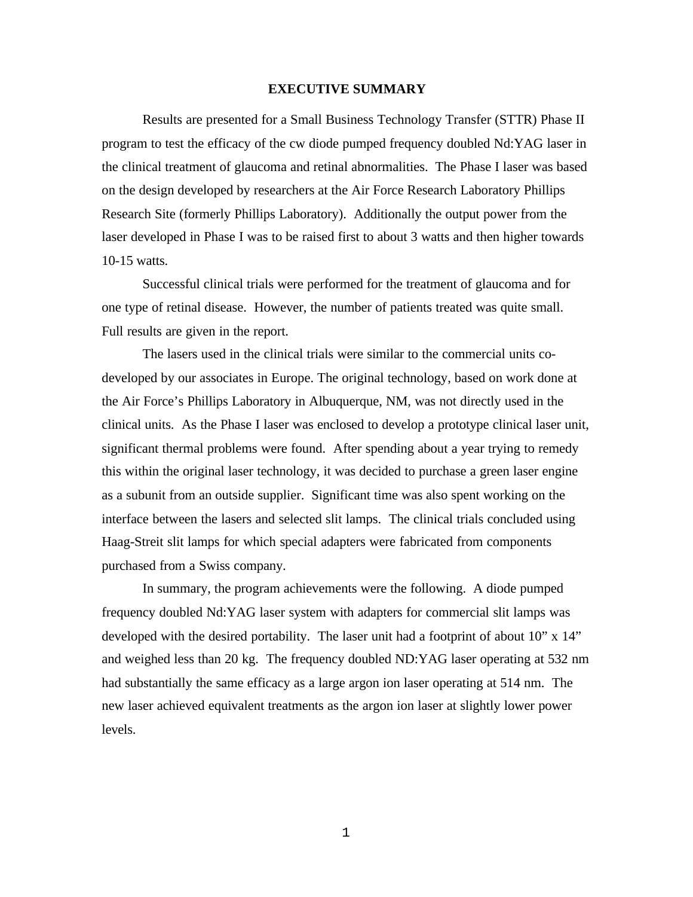#### **EXECUTIVE SUMMARY**

Results are presented for a Small Business Technology Transfer (STTR) Phase II program to test the efficacy of the cw diode pumped frequency doubled Nd:YAG laser in the clinical treatment of glaucoma and retinal abnormalities. The Phase I laser was based on the design developed by researchers at the Air Force Research Laboratory Phillips Research Site (formerly Phillips Laboratory). Additionally the output power from the laser developed in Phase I was to be raised first to about 3 watts and then higher towards 10-15 watts.

Successful clinical trials were performed for the treatment of glaucoma and for one type of retinal disease. However, the number of patients treated was quite small. Full results are given in the report.

The lasers used in the clinical trials were similar to the commercial units codeveloped by our associates in Europe. The original technology, based on work done at the Air Force's Phillips Laboratory in Albuquerque, NM, was not directly used in the clinical units. As the Phase I laser was enclosed to develop a prototype clinical laser unit, significant thermal problems were found. After spending about a year trying to remedy this within the original laser technology, it was decided to purchase a green laser engine as a subunit from an outside supplier. Significant time was also spent working on the interface between the lasers and selected slit lamps. The clinical trials concluded using Haag-Streit slit lamps for which special adapters were fabricated from components purchased from a Swiss company.

In summary, the program achievements were the following. A diode pumped frequency doubled Nd:YAG laser system with adapters for commercial slit lamps was developed with the desired portability. The laser unit had a footprint of about 10" x 14" and weighed less than 20 kg. The frequency doubled ND:YAG laser operating at 532 nm had substantially the same efficacy as a large argon ion laser operating at 514 nm. The new laser achieved equivalent treatments as the argon ion laser at slightly lower power levels.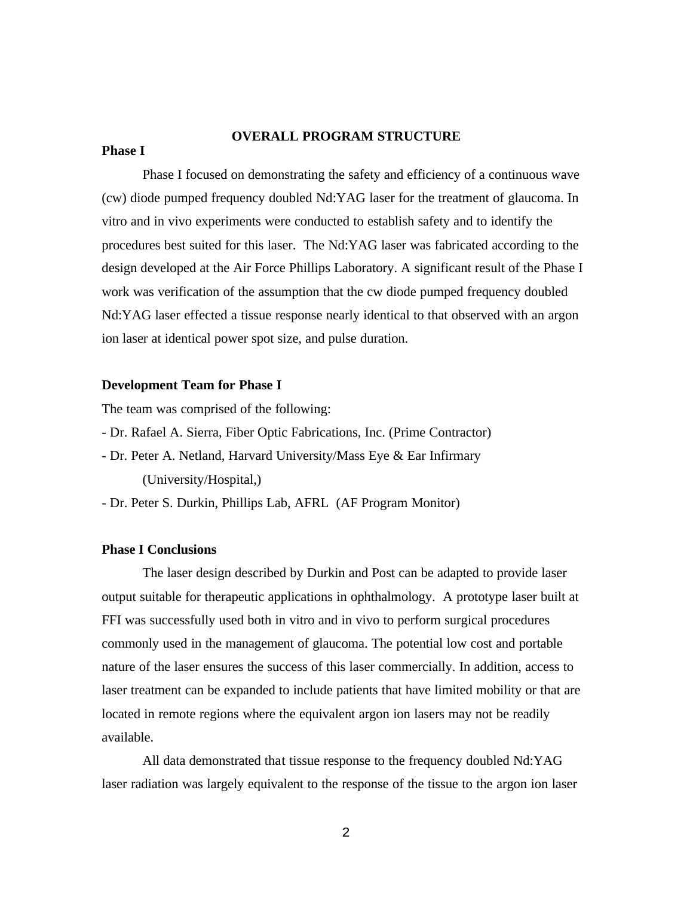### **OVERALL PROGRAM STRUCTURE**

#### **Phase I**

Phase I focused on demonstrating the safety and efficiency of a continuous wave (cw) diode pumped frequency doubled Nd:YAG laser for the treatment of glaucoma. In vitro and in vivo experiments were conducted to establish safety and to identify the procedures best suited for this laser. The Nd:YAG laser was fabricated according to the design developed at the Air Force Phillips Laboratory. A significant result of the Phase I work was verification of the assumption that the cw diode pumped frequency doubled Nd:YAG laser effected a tissue response nearly identical to that observed with an argon ion laser at identical power spot size, and pulse duration.

#### **Development Team for Phase I**

The team was comprised of the following:

- Dr. Rafael A. Sierra, Fiber Optic Fabrications, Inc. (Prime Contractor)
- Dr. Peter A. Netland, Harvard University/Mass Eye & Ear Infirmary (University/Hospital,)

- Dr. Peter S. Durkin, Phillips Lab, AFRL (AF Program Monitor)

#### **Phase I Conclusions**

The laser design described by Durkin and Post can be adapted to provide laser output suitable for therapeutic applications in ophthalmology. A prototype laser built at FFI was successfully used both in vitro and in vivo to perform surgical procedures commonly used in the management of glaucoma. The potential low cost and portable nature of the laser ensures the success of this laser commercially. In addition, access to laser treatment can be expanded to include patients that have limited mobility or that are located in remote regions where the equivalent argon ion lasers may not be readily available.

All data demonstrated that tissue response to the frequency doubled Nd:YAG laser radiation was largely equivalent to the response of the tissue to the argon ion laser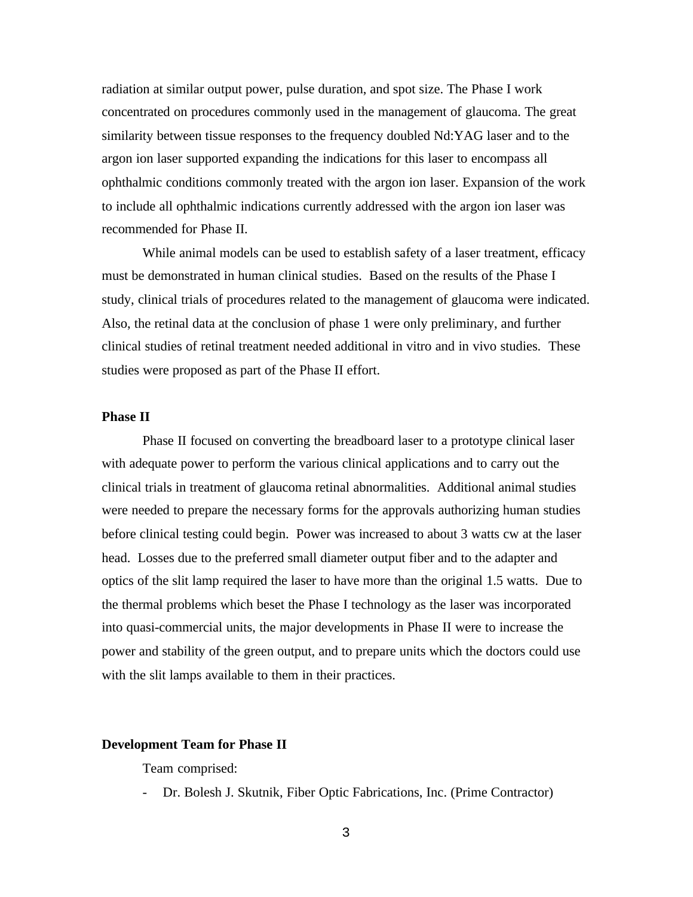radiation at similar output power, pulse duration, and spot size. The Phase I work concentrated on procedures commonly used in the management of glaucoma. The great similarity between tissue responses to the frequency doubled Nd:YAG laser and to the argon ion laser supported expanding the indications for this laser to encompass all ophthalmic conditions commonly treated with the argon ion laser. Expansion of the work to include all ophthalmic indications currently addressed with the argon ion laser was recommended for Phase II.

While animal models can be used to establish safety of a laser treatment, efficacy must be demonstrated in human clinical studies. Based on the results of the Phase I study, clinical trials of procedures related to the management of glaucoma were indicated. Also, the retinal data at the conclusion of phase 1 were only preliminary, and further clinical studies of retinal treatment needed additional in vitro and in vivo studies. These studies were proposed as part of the Phase II effort.

#### **Phase II**

Phase II focused on converting the breadboard laser to a prototype clinical laser with adequate power to perform the various clinical applications and to carry out the clinical trials in treatment of glaucoma retinal abnormalities. Additional animal studies were needed to prepare the necessary forms for the approvals authorizing human studies before clinical testing could begin. Power was increased to about 3 watts cw at the laser head. Losses due to the preferred small diameter output fiber and to the adapter and optics of the slit lamp required the laser to have more than the original 1.5 watts. Due to the thermal problems which beset the Phase I technology as the laser was incorporated into quasi-commercial units, the major developments in Phase II were to increase the power and stability of the green output, and to prepare units which the doctors could use with the slit lamps available to them in their practices.

#### **Development Team for Phase II**

Team comprised:

- Dr. Bolesh J. Skutnik, Fiber Optic Fabrications, Inc. (Prime Contractor)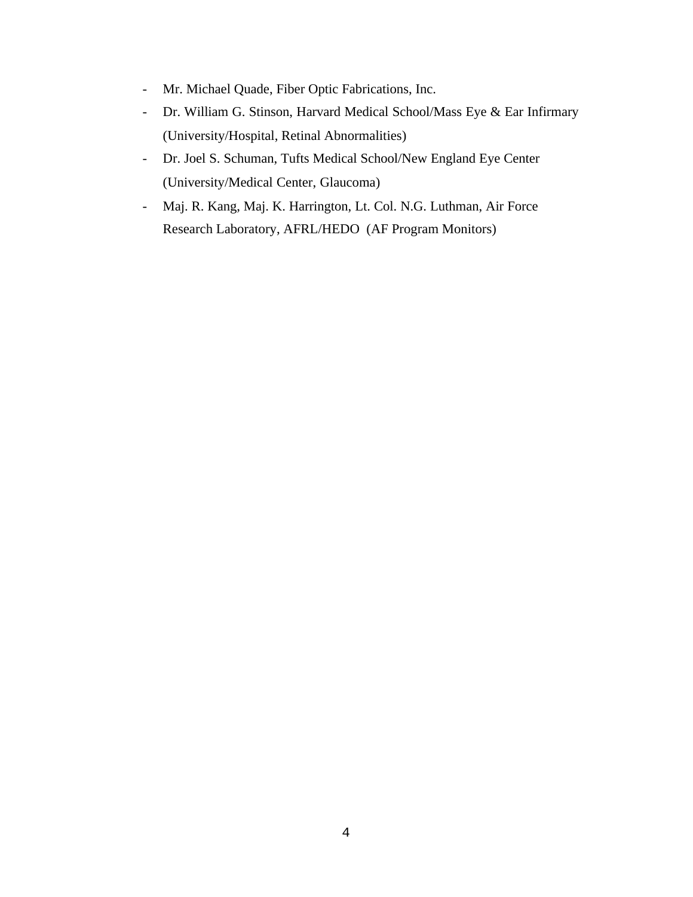- Mr. Michael Quade, Fiber Optic Fabrications, Inc.
- Dr. William G. Stinson, Harvard Medical School/Mass Eye & Ear Infirmary (University/Hospital, Retinal Abnormalities)
- Dr. Joel S. Schuman, Tufts Medical School/New England Eye Center (University/Medical Center, Glaucoma)
- Maj. R. Kang, Maj. K. Harrington, Lt. Col. N.G. Luthman, Air Force Research Laboratory, AFRL/HEDO (AF Program Monitors)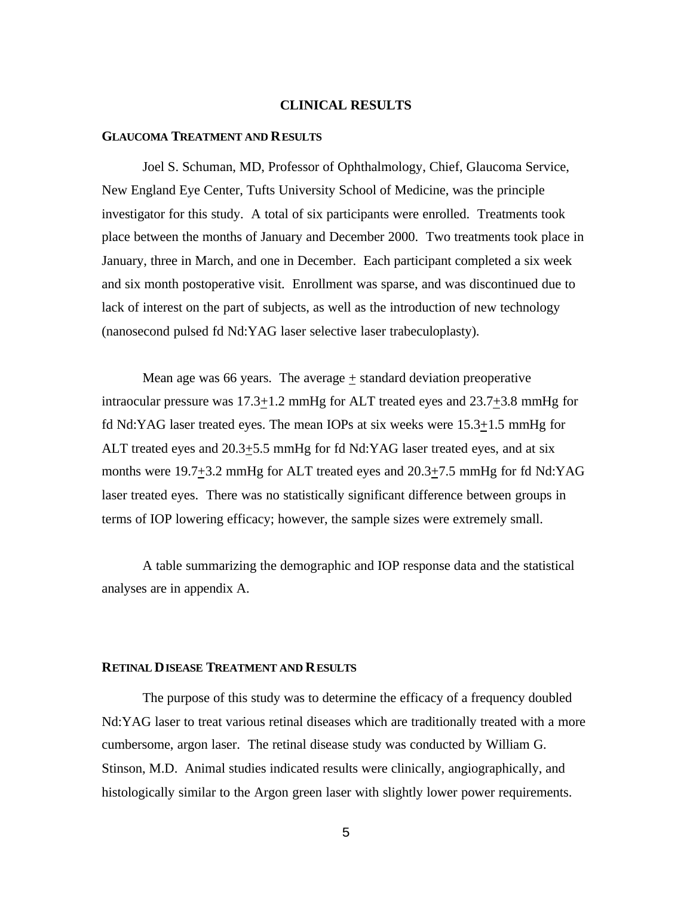#### **CLINICAL RESULTS**

#### **GLAUCOMA TREATMENT AND RESULTS**

Joel S. Schuman, MD, Professor of Ophthalmology, Chief, Glaucoma Service, New England Eye Center, Tufts University School of Medicine, was the principle investigator for this study. A total of six participants were enrolled. Treatments took place between the months of January and December 2000. Two treatments took place in January, three in March, and one in December. Each participant completed a six week and six month postoperative visit. Enrollment was sparse, and was discontinued due to lack of interest on the part of subjects, as well as the introduction of new technology (nanosecond pulsed fd Nd:YAG laser selective laser trabeculoplasty).

Mean age was 66 years. The average  $+$  standard deviation preoperative intraocular pressure was 17.3+1.2 mmHg for ALT treated eyes and 23.7+3.8 mmHg for fd Nd:YAG laser treated eyes. The mean IOPs at six weeks were 15.3+1.5 mmHg for ALT treated eyes and 20.3+5.5 mmHg for fd Nd:YAG laser treated eyes, and at six months were 19.7+3.2 mmHg for ALT treated eyes and 20.3+7.5 mmHg for fd Nd:YAG laser treated eyes. There was no statistically significant difference between groups in terms of IOP lowering efficacy; however, the sample sizes were extremely small.

A table summarizing the demographic and IOP response data and the statistical analyses are in appendix A.

#### **RETINAL DISEASE TREATMENT AND RESULTS**

The purpose of this study was to determine the efficacy of a frequency doubled Nd:YAG laser to treat various retinal diseases which are traditionally treated with a more cumbersome, argon laser. The retinal disease study was conducted by William G. Stinson, M.D. Animal studies indicated results were clinically, angiographically, and histologically similar to the Argon green laser with slightly lower power requirements.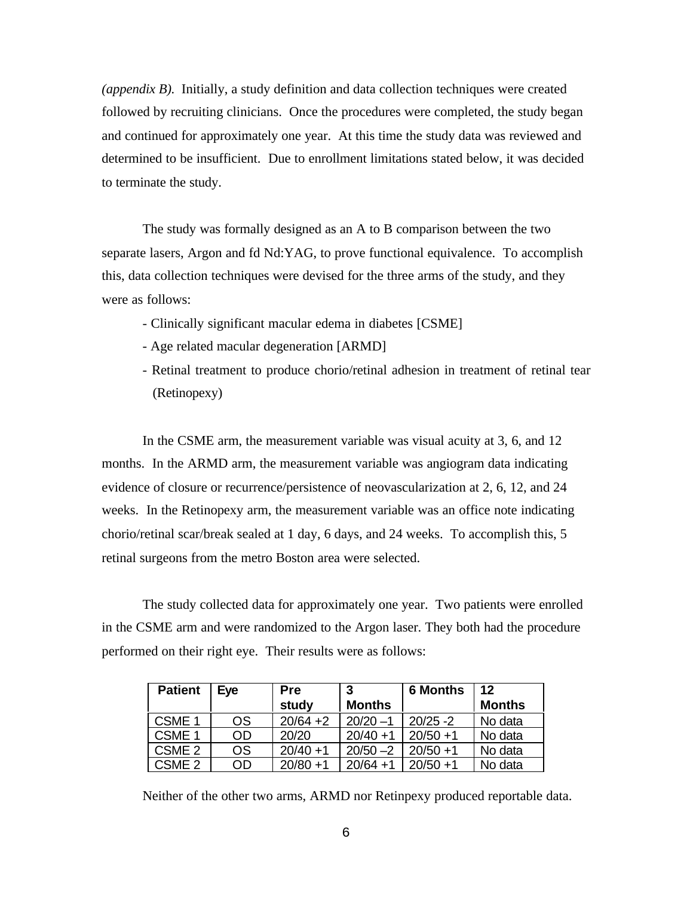*(appendix B).* Initially, a study definition and data collection techniques were created followed by recruiting clinicians. Once the procedures were completed, the study began and continued for approximately one year. At this time the study data was reviewed and determined to be insufficient. Due to enrollment limitations stated below, it was decided to terminate the study.

The study was formally designed as an A to B comparison between the two separate lasers, Argon and fd Nd:YAG, to prove functional equivalence. To accomplish this, data collection techniques were devised for the three arms of the study, and they were as follows:

- Clinically significant macular edema in diabetes [CSME]
- Age related macular degeneration [ARMD]
- Retinal treatment to produce chorio/retinal adhesion in treatment of retinal tear (Retinopexy)

In the CSME arm, the measurement variable was visual acuity at 3, 6, and 12 months. In the ARMD arm, the measurement variable was angiogram data indicating evidence of closure or recurrence/persistence of neovascularization at 2, 6, 12, and 24 weeks. In the Retinopexy arm, the measurement variable was an office note indicating chorio/retinal scar/break sealed at 1 day, 6 days, and 24 weeks. To accomplish this, 5 retinal surgeons from the metro Boston area were selected.

The study collected data for approximately one year. Two patients were enrolled in the CSME arm and were randomized to the Argon laser. They both had the procedure performed on their right eye. Their results were as follows:

| <b>Patient</b>    | Eve       | <b>Pre</b>  | 3             | <b>6 Months</b> | 12            |
|-------------------|-----------|-------------|---------------|-----------------|---------------|
|                   |           | study       | <b>Months</b> |                 | <b>Months</b> |
| CSME <sub>1</sub> | <b>OS</b> | $20/64 + 2$ | $20/20 - 1$   | $20/25 - 2$     | No data       |
| CSME <sub>1</sub> | OD        | 20/20       | $20/40 + 1$   | $20/50 + 1$     | No data       |
| CSME <sub>2</sub> | OS        | $20/40 + 1$ | $20/50 - 2$   | $20/50 + 1$     | No data       |
| CSME <sub>2</sub> | OD        | $20/80 + 1$ | $20/64 + 1$   | $20/50 + 1$     | No data       |

Neither of the other two arms, ARMD nor Retinpexy produced reportable data.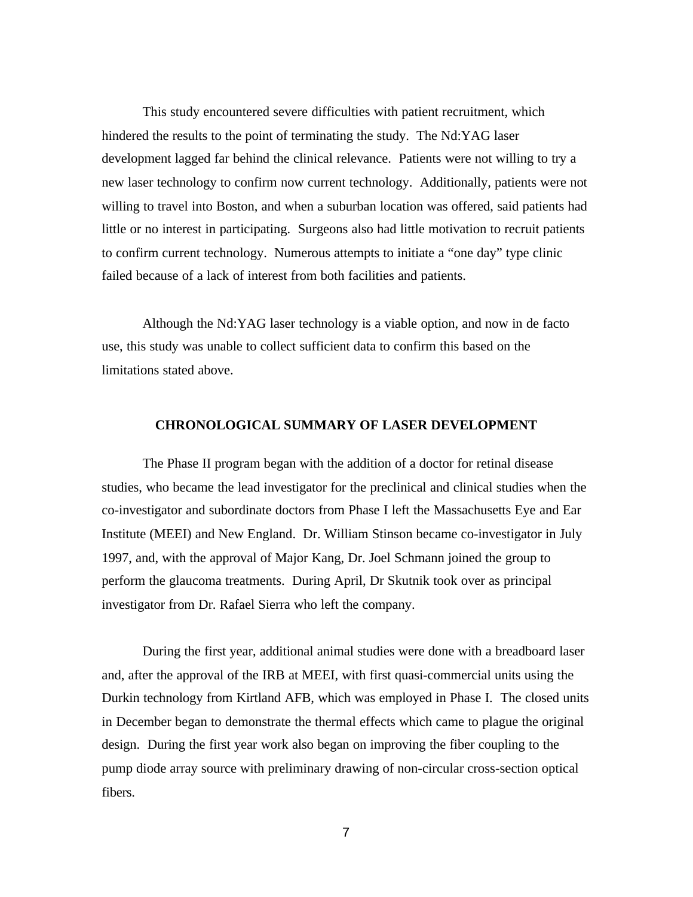This study encountered severe difficulties with patient recruitment, which hindered the results to the point of terminating the study. The Nd:YAG laser development lagged far behind the clinical relevance. Patients were not willing to try a new laser technology to confirm now current technology. Additionally, patients were not willing to travel into Boston, and when a suburban location was offered, said patients had little or no interest in participating. Surgeons also had little motivation to recruit patients to confirm current technology. Numerous attempts to initiate a "one day" type clinic failed because of a lack of interest from both facilities and patients.

Although the Nd:YAG laser technology is a viable option, and now in de facto use, this study was unable to collect sufficient data to confirm this based on the limitations stated above.

#### **CHRONOLOGICAL SUMMARY OF LASER DEVELOPMENT**

The Phase II program began with the addition of a doctor for retinal disease studies, who became the lead investigator for the preclinical and clinical studies when the co-investigator and subordinate doctors from Phase I left the Massachusetts Eye and Ear Institute (MEEI) and New England. Dr. William Stinson became co-investigator in July 1997, and, with the approval of Major Kang, Dr. Joel Schmann joined the group to perform the glaucoma treatments. During April, Dr Skutnik took over as principal investigator from Dr. Rafael Sierra who left the company.

During the first year, additional animal studies were done with a breadboard laser and, after the approval of the IRB at MEEI, with first quasi-commercial units using the Durkin technology from Kirtland AFB, which was employed in Phase I. The closed units in December began to demonstrate the thermal effects which came to plague the original design. During the first year work also began on improving the fiber coupling to the pump diode array source with preliminary drawing of non-circular cross-section optical fibers.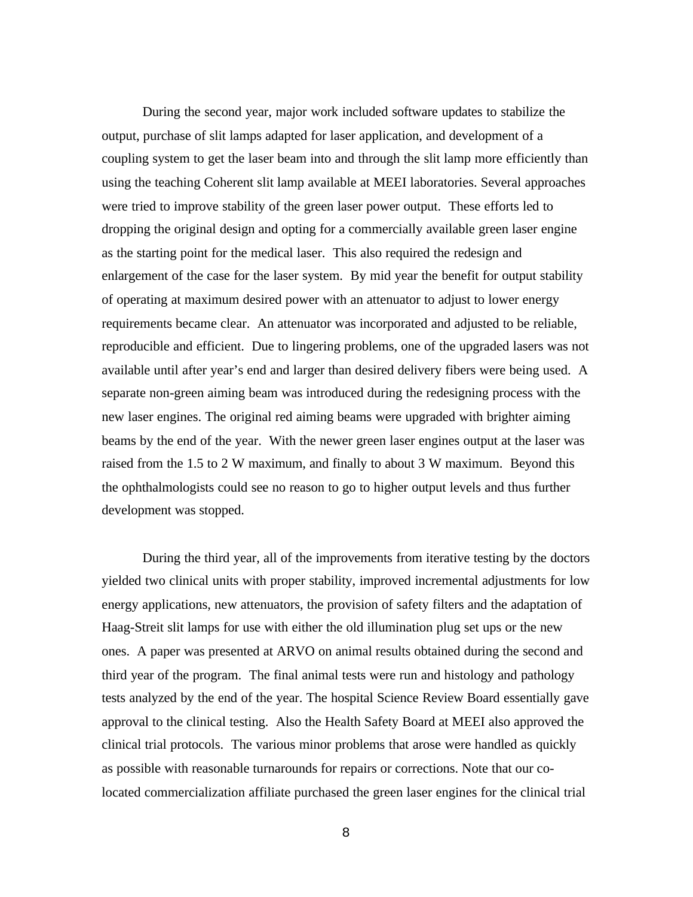During the second year, major work included software updates to stabilize the output, purchase of slit lamps adapted for laser application, and development of a coupling system to get the laser beam into and through the slit lamp more efficiently than using the teaching Coherent slit lamp available at MEEI laboratories. Several approaches were tried to improve stability of the green laser power output. These efforts led to dropping the original design and opting for a commercially available green laser engine as the starting point for the medical laser. This also required the redesign and enlargement of the case for the laser system. By mid year the benefit for output stability of operating at maximum desired power with an attenuator to adjust to lower energy requirements became clear. An attenuator was incorporated and adjusted to be reliable, reproducible and efficient. Due to lingering problems, one of the upgraded lasers was not available until after year's end and larger than desired delivery fibers were being used. A separate non-green aiming beam was introduced during the redesigning process with the new laser engines. The original red aiming beams were upgraded with brighter aiming beams by the end of the year. With the newer green laser engines output at the laser was raised from the 1.5 to 2 W maximum, and finally to about 3 W maximum. Beyond this the ophthalmologists could see no reason to go to higher output levels and thus further development was stopped.

During the third year, all of the improvements from iterative testing by the doctors yielded two clinical units with proper stability, improved incremental adjustments for low energy applications, new attenuators, the provision of safety filters and the adaptation of Haag-Streit slit lamps for use with either the old illumination plug set ups or the new ones. A paper was presented at ARVO on animal results obtained during the second and third year of the program. The final animal tests were run and histology and pathology tests analyzed by the end of the year. The hospital Science Review Board essentially gave approval to the clinical testing. Also the Health Safety Board at MEEI also approved the clinical trial protocols. The various minor problems that arose were handled as quickly as possible with reasonable turnarounds for repairs or corrections. Note that our colocated commercialization affiliate purchased the green laser engines for the clinical trial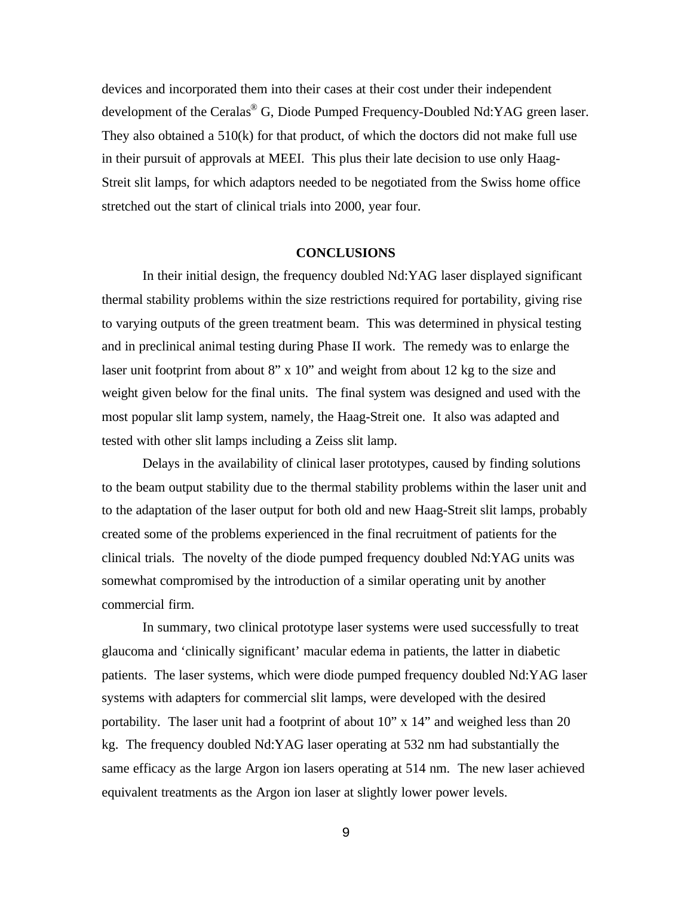devices and incorporated them into their cases at their cost under their independent development of the Ceralas® G, Diode Pumped Frequency-Doubled Nd:YAG green laser. They also obtained a 510(k) for that product, of which the doctors did not make full use in their pursuit of approvals at MEEI. This plus their late decision to use only Haag-Streit slit lamps, for which adaptors needed to be negotiated from the Swiss home office stretched out the start of clinical trials into 2000, year four.

#### **CONCLUSIONS**

In their initial design, the frequency doubled Nd:YAG laser displayed significant thermal stability problems within the size restrictions required for portability, giving rise to varying outputs of the green treatment beam. This was determined in physical testing and in preclinical animal testing during Phase II work. The remedy was to enlarge the laser unit footprint from about 8" x 10" and weight from about 12 kg to the size and weight given below for the final units. The final system was designed and used with the most popular slit lamp system, namely, the Haag-Streit one. It also was adapted and tested with other slit lamps including a Zeiss slit lamp.

Delays in the availability of clinical laser prototypes, caused by finding solutions to the beam output stability due to the thermal stability problems within the laser unit and to the adaptation of the laser output for both old and new Haag-Streit slit lamps, probably created some of the problems experienced in the final recruitment of patients for the clinical trials. The novelty of the diode pumped frequency doubled Nd:YAG units was somewhat compromised by the introduction of a similar operating unit by another commercial firm.

In summary, two clinical prototype laser systems were used successfully to treat glaucoma and 'clinically significant' macular edema in patients, the latter in diabetic patients. The laser systems, which were diode pumped frequency doubled Nd:YAG laser systems with adapters for commercial slit lamps, were developed with the desired portability. The laser unit had a footprint of about 10" x 14" and weighed less than 20 kg. The frequency doubled Nd:YAG laser operating at 532 nm had substantially the same efficacy as the large Argon ion lasers operating at 514 nm. The new laser achieved equivalent treatments as the Argon ion laser at slightly lower power levels.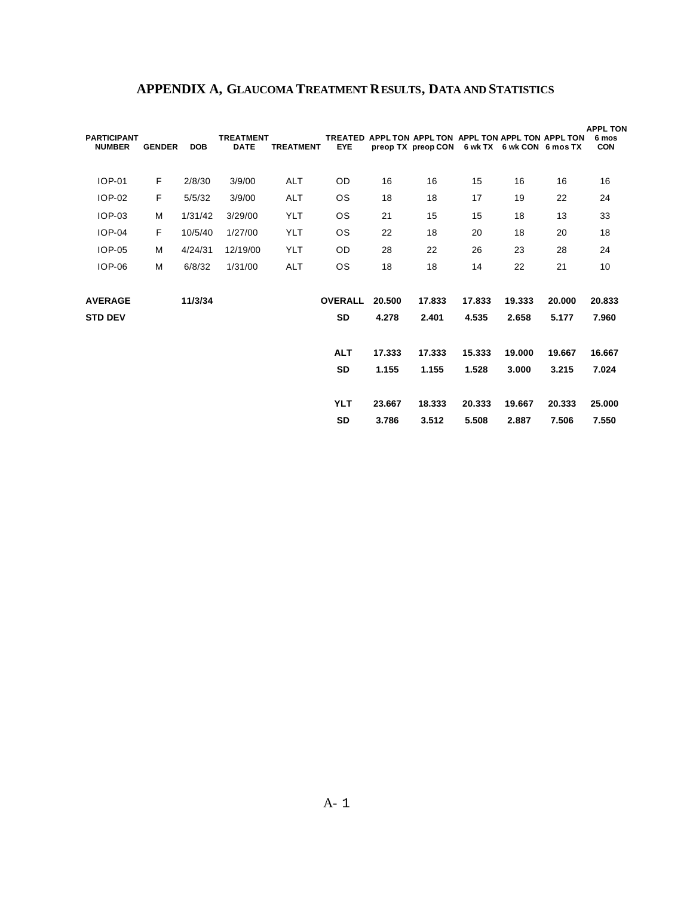| <b>PARTICIPANT</b><br><b>NUMBER</b> | <b>GENDER</b> | <b>DOB</b> | <b>TREATMENT</b><br><b>DATE</b> | <b>TREATMENT</b> | <b>EYE</b>     |        | TREATED APPL TON APPL TON APPL TON APPL TON APPL TON<br>preop TX preop CON |        | 6 wk TX 6 wk CON 6 mos TX |        | <b>APPL TON</b><br>6 mos<br><b>CON</b> |
|-------------------------------------|---------------|------------|---------------------------------|------------------|----------------|--------|----------------------------------------------------------------------------|--------|---------------------------|--------|----------------------------------------|
| <b>IOP-01</b>                       | F             | 2/8/30     | 3/9/00                          | <b>ALT</b>       | OD.            | 16     | 16                                                                         | 15     | 16                        | 16     | 16                                     |
| IOP-02                              | F             | 5/5/32     | 3/9/00                          | <b>ALT</b>       | 0S             | 18     | 18                                                                         | 17     | 19                        | 22     | 24                                     |
| <b>IOP-03</b>                       | M             | 1/31/42    | 3/29/00                         | YLT              | <b>OS</b>      | 21     | 15                                                                         | 15     | 18                        | 13     | 33                                     |
| <b>IOP-04</b>                       | F             | 10/5/40    | 1/27/00                         | YLT              | <b>OS</b>      | 22     | 18                                                                         | 20     | 18                        | 20     | 18                                     |
| <b>IOP-05</b>                       | M             | 4/24/31    | 12/19/00                        | <b>YLT</b>       | <b>OD</b>      | 28     | 22                                                                         | 26     | 23                        | 28     | 24                                     |
| <b>IOP-06</b>                       | M             | 6/8/32     | 1/31/00                         | <b>ALT</b>       | <b>OS</b>      | 18     | 18                                                                         | 14     | 22                        | 21     | 10                                     |
| <b>AVERAGE</b>                      |               | 11/3/34    |                                 |                  | <b>OVERALL</b> | 20.500 | 17.833                                                                     | 17.833 | 19.333                    | 20,000 | 20.833                                 |
| <b>STD DEV</b>                      |               |            |                                 |                  | SD             | 4.278  | 2.401                                                                      | 4.535  | 2.658                     | 5.177  | 7.960                                  |
|                                     |               |            |                                 |                  | <b>ALT</b>     | 17.333 | 17.333                                                                     | 15.333 | 19,000                    | 19.667 | 16.667                                 |
|                                     |               |            |                                 |                  | SD             | 1.155  | 1.155                                                                      | 1.528  | 3.000                     | 3.215  | 7.024                                  |
|                                     |               |            |                                 |                  | <b>YLT</b>     | 23.667 | 18.333                                                                     | 20.333 | 19.667                    | 20.333 | 25.000                                 |
|                                     |               |            |                                 |                  | <b>SD</b>      | 3.786  | 3.512                                                                      | 5.508  | 2.887                     | 7.506  | 7.550                                  |

## **APPENDIX A, GLAUCOMA TREATMENT RESULTS, DATA AND STATISTICS**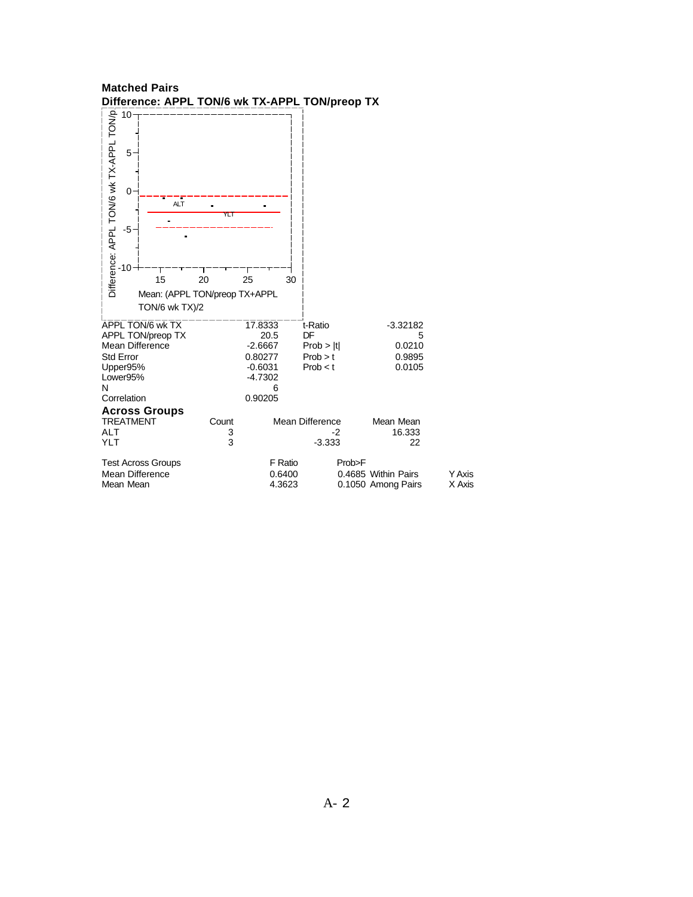| <b>Y Axis</b><br>X Axis |
|-------------------------|
|                         |

# **Matched Pairs**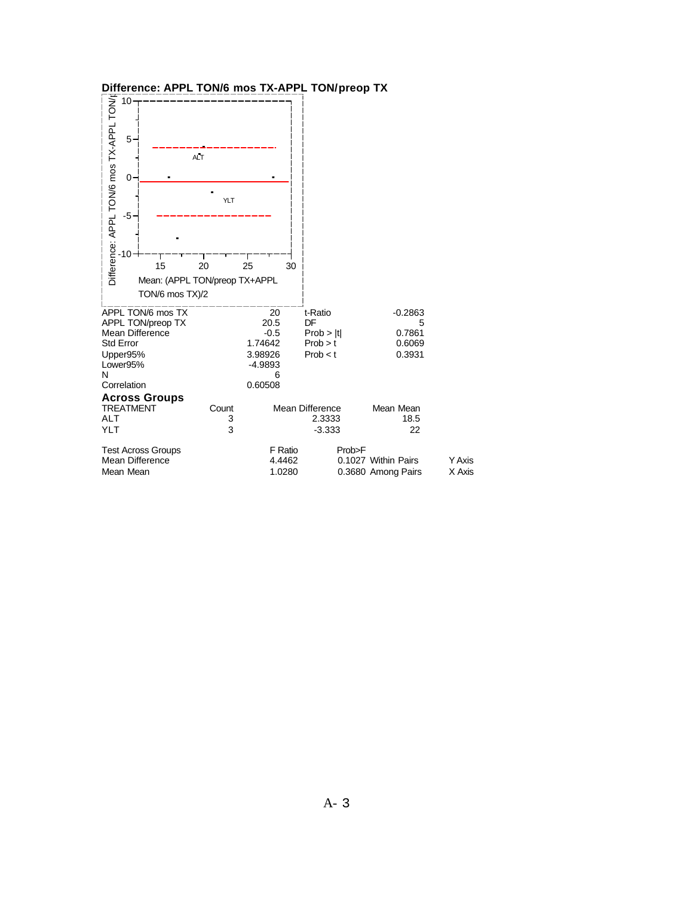| Difference: APPL TON/6 mos TX-APPL TON/preop TX<br>10 <sup>1</sup>                                                        |                 |                                                                         |                                                     |                                                     |                  |
|---------------------------------------------------------------------------------------------------------------------------|-----------------|-------------------------------------------------------------------------|-----------------------------------------------------|-----------------------------------------------------|------------------|
| 5<br>$0 -$                                                                                                                | <b>ALT</b>      |                                                                         |                                                     |                                                     |                  |
| Difference: APPL TON/6 mos TX-APPL TON/<br>$-5$                                                                           | YLT             |                                                                         |                                                     |                                                     |                  |
| 10<br>15<br>Mean: (APPL TON/preop TX+APPL<br>TON/6 mos TX)/2                                                              | 20              | 25<br>30                                                                |                                                     |                                                     |                  |
| APPL TON/6 mos TX<br>APPL TON/preop TX<br>Mean Difference<br><b>Std Error</b><br>Upper95%<br>Lower95%<br>N<br>Correlation |                 | 20<br>20.5<br>$-0.5$<br>1.74642<br>3.98926<br>$-4.9893$<br>6<br>0.60508 | t-Ratio<br>DF<br>Prob >  t <br>Prob > t<br>Prob < t | $-0.2863$<br>5<br>0.7861<br>0.6069<br>0.3931        |                  |
| <b>Across Groups</b><br><b>TREATMENT</b><br><b>ALT</b><br><b>YLT</b>                                                      | Count<br>3<br>3 |                                                                         | <b>Mean Difference</b><br>2.3333<br>$-3.333$        | Mean Mean<br>18.5<br>22                             |                  |
| <b>Test Across Groups</b><br>Mean Difference<br>Mean Mean                                                                 |                 | F Ratio<br>4.4462<br>1.0280                                             |                                                     | Prob>F<br>0.1027 Within Pairs<br>0.3680 Among Pairs | Y Axis<br>X Axis |

### **Difference: APPL TON/6 mos TX-APPL TON/preop TX**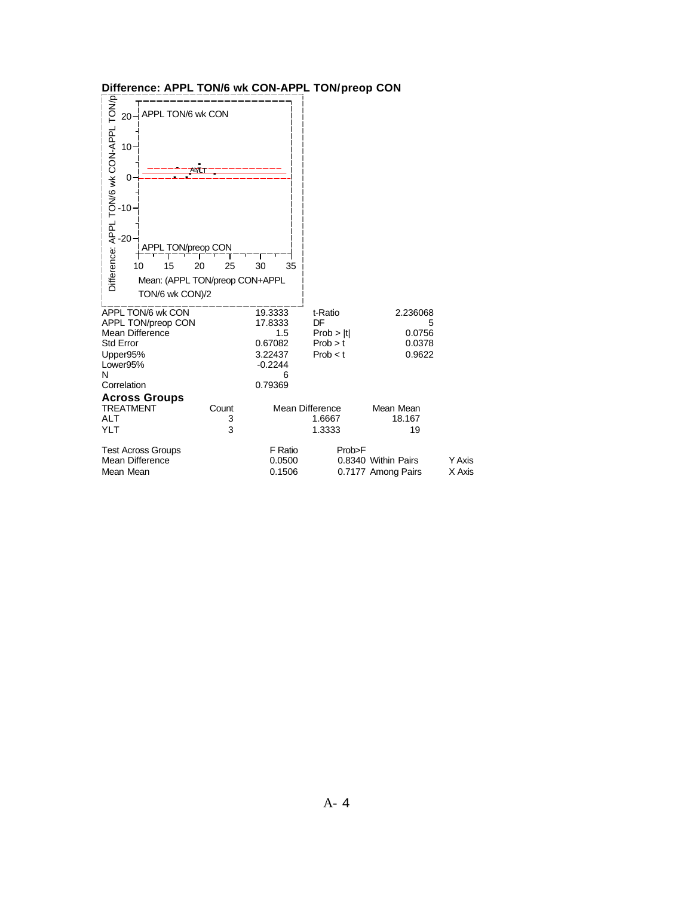| Difference: APPL TON/6 wk CON-APPL TON/preop CON                                                                                                               |          |                                    |               |                                           |                         |
|----------------------------------------------------------------------------------------------------------------------------------------------------------------|----------|------------------------------------|---------------|-------------------------------------------|-------------------------|
| APPL TON/6 wk CON<br>20 <sub>1</sub>                                                                                                                           |          |                                    |               |                                           |                         |
| 10 <sup>1</sup><br>0                                                                                                                                           |          |                                    |               |                                           |                         |
| Difference: APPL TON/6 wk CON-APPL TON/p<br>$-10$<br>$-20$<br><b>APPL TON/preop CON</b><br>15<br>10<br>20<br>Mean: (APPL TON/preop CON+APPL<br>TON/6 wk CON)/2 | 25<br>30 | 35                                 |               |                                           |                         |
| APPL TON/6 wk CON<br>APPL TON/preop CON                                                                                                                        |          | 19.3333<br>17.8333                 | t-Ratio<br>DF | 2.236068<br>5                             |                         |
| <b>Mean Difference</b>                                                                                                                                         |          | 1.5                                | Prob >  t     | 0.0756                                    |                         |
| <b>Std Error</b>                                                                                                                                               |          | 0.67082                            | Prob > t      | 0.0378                                    |                         |
| Upper95%                                                                                                                                                       |          | 3.22437                            | Prob < t      | 0.9622                                    |                         |
| Lower95%<br>N                                                                                                                                                  |          | $-0.2244$<br>6                     |               |                                           |                         |
| Correlation                                                                                                                                                    |          | 0.79369                            |               |                                           |                         |
| <b>Across Groups</b>                                                                                                                                           |          |                                    |               |                                           |                         |
| <b>TREATMENT</b>                                                                                                                                               | Count    | Mean Difference                    |               | Mean Mean                                 |                         |
| <b>ALT</b>                                                                                                                                                     | 3        |                                    | 1.6667        | 18.167                                    |                         |
| <b>YLT</b>                                                                                                                                                     | 3        |                                    | 1.3333        | 19                                        |                         |
| <b>Test Across Groups</b><br>Mean Difference<br>Mean Mean                                                                                                      |          | <b>F</b> Ratio<br>0.0500<br>0.1506 | Prob>F        | 0.8340 Within Pairs<br>0.7177 Among Pairs | <b>Y Axis</b><br>X Axis |

## **Difference: APPL TON/6 wk CON-APPL TON/preop CON**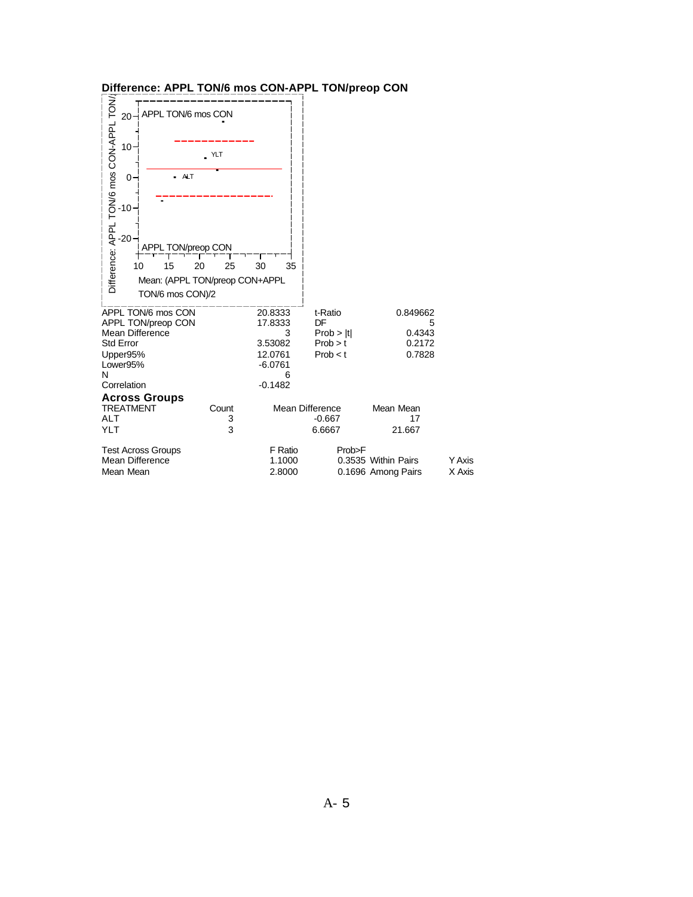| Difference: APPL TON/6 mos CON-APPL TON/preop CON                                                                                                                                                                          |           |                                                                                                 |                                                     |                                                          |                         |
|----------------------------------------------------------------------------------------------------------------------------------------------------------------------------------------------------------------------------|-----------|-------------------------------------------------------------------------------------------------|-----------------------------------------------------|----------------------------------------------------------|-------------------------|
| Difference: APPL TON/6 mos CON-APPL TON/<br>APPL TON/6 mos CON<br>20<br>10 <sup>1</sup><br><b>ALT</b><br>0.<br>$-10$<br>-20-<br>APPL TON/preop CON<br>15<br>20<br>10<br>Mean: (APPL TON/preop CON+APPL<br>TON/6 mos CON)/2 | YLT<br>25 | 30<br>35                                                                                        |                                                     |                                                          |                         |
| APPL TON/6 mos CON<br>APPL TON/preop CON<br><b>Mean Difference</b><br><b>Std Error</b><br>Upper95%<br>Lower95%<br>N<br>Correlation<br><b>Across Groups</b><br><b>TREATMENT</b>                                             | Count     | 20.8333<br>17.8333<br>3<br>3.53082<br>12.0761<br>$-6.0761$<br>6<br>$-0.1482$<br>Mean Difference | t-Ratio<br>DF<br>Prob >  t <br>Prob > t<br>Prob < t | 0.849662<br>5<br>0.4343<br>0.2172<br>0.7828<br>Mean Mean |                         |
| <b>ALT</b><br><b>YLT</b>                                                                                                                                                                                                   | 3<br>3    |                                                                                                 | $-0.667$<br>6.6667                                  | 17<br>21.667                                             |                         |
| <b>Test Across Groups</b><br><b>Mean Difference</b><br>Mean Mean                                                                                                                                                           |           | <b>F</b> Ratio<br>1.1000<br>2.8000                                                              | Prob>F                                              | 0.3535 Within Pairs<br>0.1696 Among Pairs                | <b>Y Axis</b><br>X Axis |

## **Difference: APPL TON/6 mos CON-APPL TON/preop CON**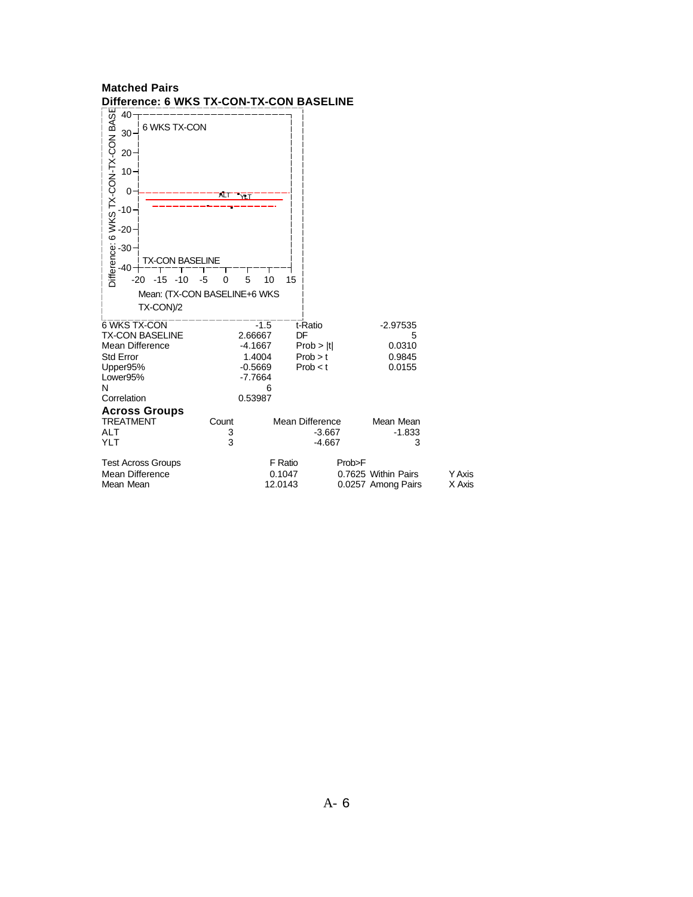| Malcheu Falls<br>Difference: 6 WKS TX-CON-TX-CON BASELINE                                                                                     |                                                                               |                                                          |                                                     |                         |
|-----------------------------------------------------------------------------------------------------------------------------------------------|-------------------------------------------------------------------------------|----------------------------------------------------------|-----------------------------------------------------|-------------------------|
| 6 WKS TX-CON                                                                                                                                  |                                                                               |                                                          |                                                     |                         |
| $10 -$                                                                                                                                        | ÆТ<br>$\mathcal{M}$                                                           |                                                          |                                                     |                         |
| PARTIZOV-XL-NOV-XL-NOV-XL-NOV-20 30 30 30 30 30 30 40<br>TX-CON BASELINE<br>$-15$<br>$-10$<br>$-5$<br>$-20$<br>Mean: (TX-CON BASELINE+6 WKS   | 5<br>0                                                                        | 10<br>15                                                 |                                                     |                         |
| TX-CON)/2<br>6 WKS TX-CON<br><b>TX-CON BASELINE</b><br><b>Mean Difference</b><br><b>Std Error</b><br>Upper95%<br>Lower95%<br>N<br>Correlation | $-1.5$<br>2.66667<br>$-4.1667$<br>1.4004<br>$-0.5669$<br>$-7.7664$<br>0.53987 | t-Ratio<br>DF<br>Prob >  t <br>Prob > t<br>Prob < t<br>6 | $-2.97535$<br>5<br>0.0310<br>0.9845<br>0.0155       |                         |
| <b>Across Groups</b><br><b>TREATMENT</b><br><b>ALT</b><br>YLT                                                                                 | Count<br>3<br>3                                                               | <b>Mean Difference</b>                                   | Mean Mean<br>$-1.833$<br>$-3.667$<br>$-4.667$<br>3  |                         |
| <b>Test Across Groups</b><br>Mean Difference<br>Mean Mean                                                                                     |                                                                               | F Ratio<br>0.1047<br>12.0143                             | Prob>F<br>0.7625 Within Pairs<br>0.0257 Among Pairs | <b>Y</b> Axis<br>X Axis |

## **Matched Pairs**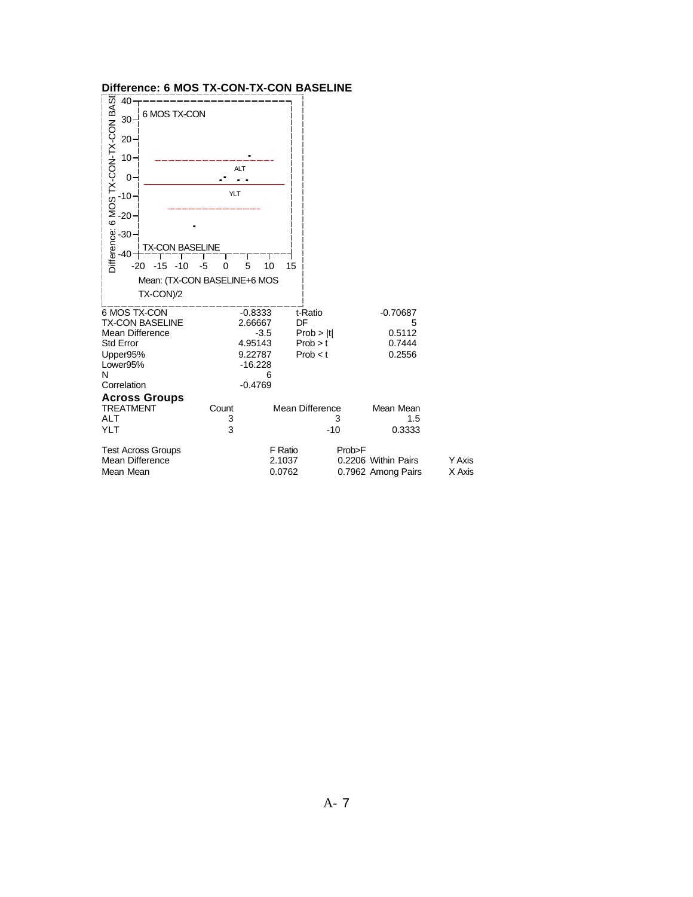|                                        | Difference: 6 MOS TX-CON-TX-CON BASELINE         |                              |                        |                     |               |
|----------------------------------------|--------------------------------------------------|------------------------------|------------------------|---------------------|---------------|
|                                        | 6 MOS TX-CON                                     |                              |                        |                     |               |
|                                        |                                                  |                              |                        |                     |               |
|                                        |                                                  | <b>ALT</b><br>$\blacksquare$ |                        |                     |               |
|                                        | YLT                                              |                              |                        |                     |               |
|                                        |                                                  |                              |                        |                     |               |
|                                        | TX-CON BASELINE                                  |                              |                        |                     |               |
| $-15$<br>$-20$                         | $-10$<br>-5<br>0<br>Mean: (TX-CON BASELINE+6 MOS | 5<br>10                      | 15                     |                     |               |
| TX-CON)/2                              |                                                  |                              |                        |                     |               |
| 6 MOS TX-CON<br><b>TX-CON BASELINE</b> |                                                  | $-0.8333$<br>2.66667         | t-Ratio<br>DF          | $-0.70687$<br>5     |               |
| <b>Mean Difference</b>                 |                                                  | $-3.5$                       | Prob >  t              | 0.5112              |               |
| <b>Std Error</b><br>Upper95%           |                                                  | 4.95143<br>9.22787           | Prob > t<br>Prob < t   | 0.7444<br>0.2556    |               |
| Lower95%                               |                                                  | $-16.228$                    |                        |                     |               |
| N                                      |                                                  | 6                            |                        |                     |               |
| Correlation<br><b>Across Groups</b>    |                                                  | $-0.4769$                    |                        |                     |               |
| <b>TREATMENT</b>                       | Count                                            |                              | <b>Mean Difference</b> | Mean Mean           |               |
| <b>ALT</b>                             | 3                                                |                              | 3                      | 1.5                 |               |
| <b>YLT</b>                             | 3                                                |                              | $-10$                  | 0.3333              |               |
| <b>Test Across Groups</b>              |                                                  |                              | F Ratio<br>Prob>F      |                     |               |
| <b>Mean Difference</b>                 |                                                  |                              | 2.1037                 | 0.2206 Within Pairs | <b>Y Axis</b> |
| Mean Mean                              |                                                  | 0.0762                       |                        | 0.7962 Among Pairs  | X Axis        |

#### **Difference: 6 MOS TX-CON-TX-CON BASELINE**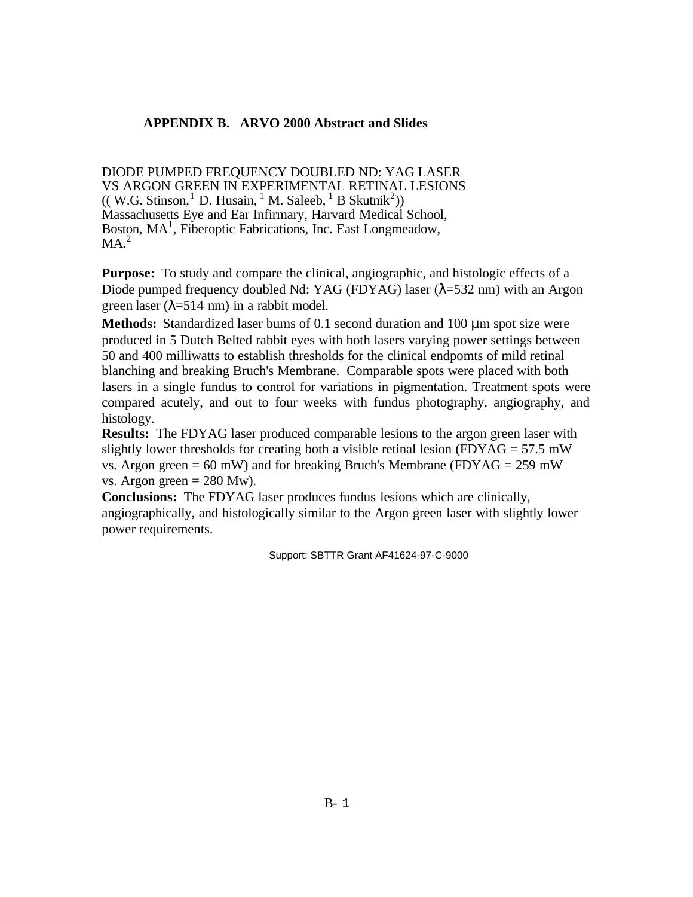## **APPENDIX B. ARVO 2000 Abstract and Slides**

DIODE PUMPED FREQUENCY DOUBLED ND: YAG LASER VS ARGON GREEN IN EXPERIMENTAL RETINAL LESIONS  $(($  W.G. Stinson,  $^{1}$  D. Husain,  $^{1}$  M. Saleeb,  $^{1}$  B Skutnik<sup>2</sup>)) Massachusetts Eye and Ear Infirmary, Harvard Medical School, Boston, MA<sup>1</sup>, Fiberoptic Fabrications, Inc. East Longmeadow,  $MA<sup>2</sup>$ 

**Purpose:** To study and compare the clinical, angiographic, and histologic effects of a Diode pumped frequency doubled Nd: YAG (FDYAG) laser  $(\lambda = 532 \text{ nm})$  with an Argon green laser ( $\lambda$ =514 nm) in a rabbit model.

**Methods:** Standardized laser bums of 0.1 second duration and 100 μm spot size were produced in 5 Dutch Belted rabbit eyes with both lasers varying power settings between 50 and 400 milliwatts to establish thresholds for the clinical endpomts of mild retinal blanching and breaking Bruch's Membrane. Comparable spots were placed with both lasers in a single fundus to control for variations in pigmentation. Treatment spots were compared acutely, and out to four weeks with fundus photography, angiography, and histology.

**Results:** The FDYAG laser produced comparable lesions to the argon green laser with slightly lower thresholds for creating both a visible retinal lesion (FDYAG =  $57.5$  mW vs. Argon green = 60 mW) and for breaking Bruch's Membrane (FDYAG = 259 mW) vs. Argon green  $= 280$  Mw).

**Conclusions:** The FDYAG laser produces fundus lesions which are clinically, angiographically, and histologically similar to the Argon green laser with slightly lower power requirements.

Support: SBTTR Grant AF41624-97-C-9000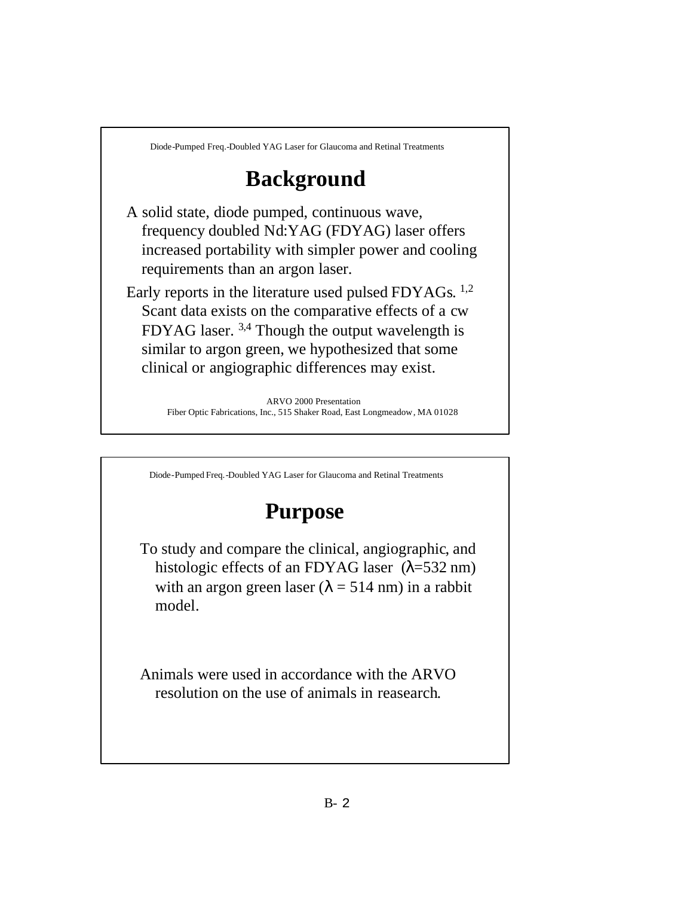# **Background**

A solid state, diode pumped, continuous wave, frequency doubled Nd:YAG (FDYAG) laser offers increased portability with simpler power and cooling requirements than an argon laser.

Early reports in the literature used pulsed FDYAGs. <sup>1,2</sup> Scant data exists on the comparative effects of a cw FDYAG laser. 3,4 Though the output wavelength is similar to argon green, we hypothesized that some clinical or angiographic differences may exist.

> ARVO 2000 Presentation Fiber Optic Fabrications, Inc., 515 Shaker Road, East Longmeadow, MA 01028

Diode-Pumped Freq.-Doubled YAG Laser for Glaucoma and Retinal Treatments

# **Purpose**

To study and compare the clinical, angiographic, and histologic effects of an FDYAG laser  $(\lambda = 532 \text{ nm})$ with an argon green laser ( $\lambda$  = 514 nm) in a rabbit model.

Animals were used in accordance with the ARVO resolution on the use of animals in reasearch.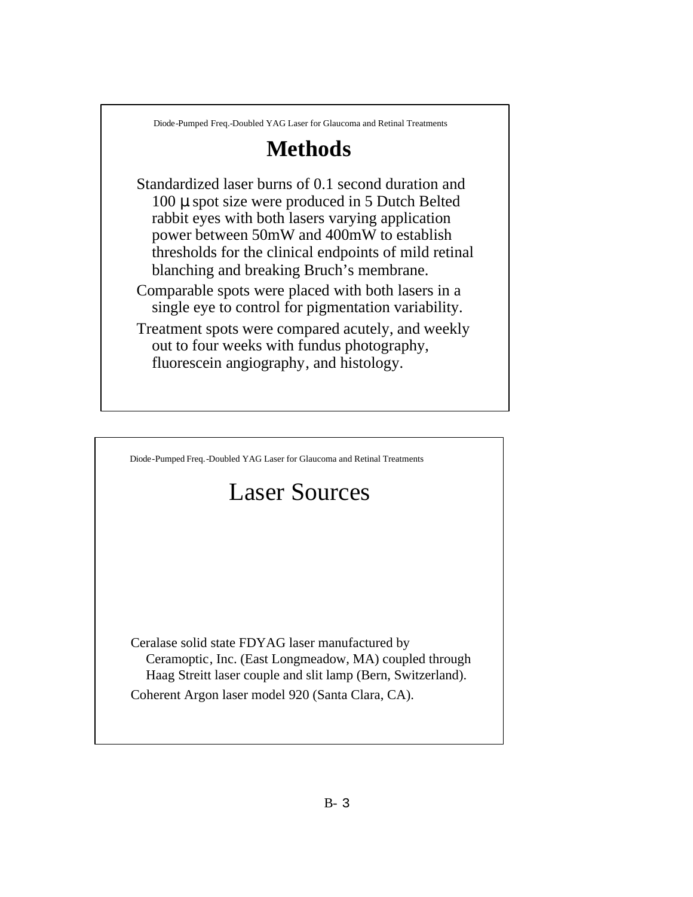## **Methods**

Standardized laser burns of 0.1 second duration and 100 μ spot size were produced in 5 Dutch Belted rabbit eyes with both lasers varying application power between 50mW and 400mW to establish thresholds for the clinical endpoints of mild retinal blanching and breaking Bruch's membrane.

Comparable spots were placed with both lasers in a single eye to control for pigmentation variability.

Treatment spots were compared acutely, and weekly out to four weeks with fundus photography, fluorescein angiography, and histology.

Diode-Pumped Freq.-Doubled YAG Laser for Glaucoma and Retinal Treatments

# Laser Sources

Ceralase solid state FDYAG laser manufactured by Ceramoptic, Inc. (East Longmeadow, MA) coupled through Haag Streitt laser couple and slit lamp (Bern, Switzerland). Coherent Argon laser model 920 (Santa Clara, CA).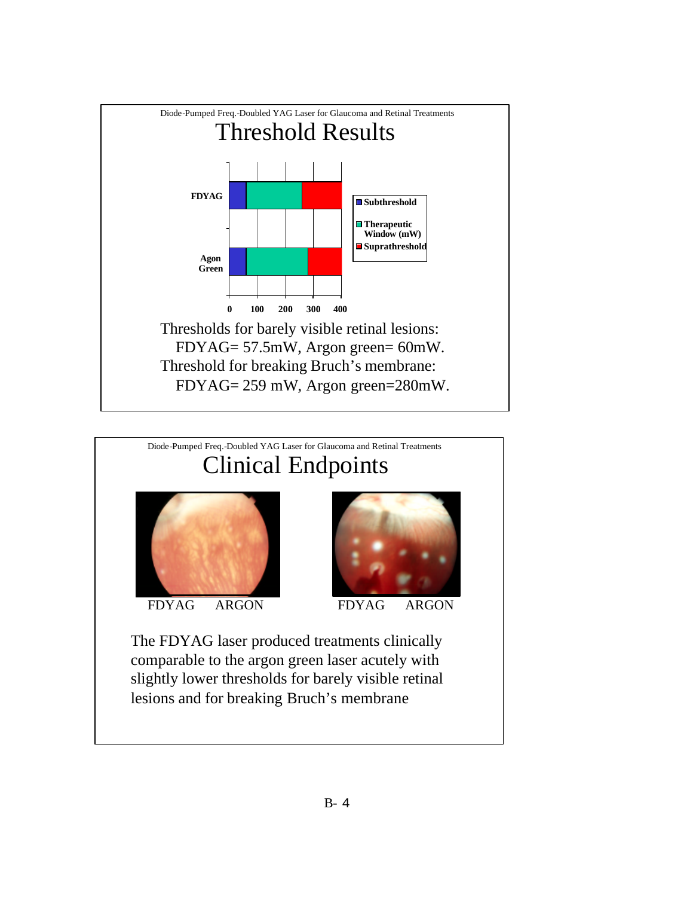

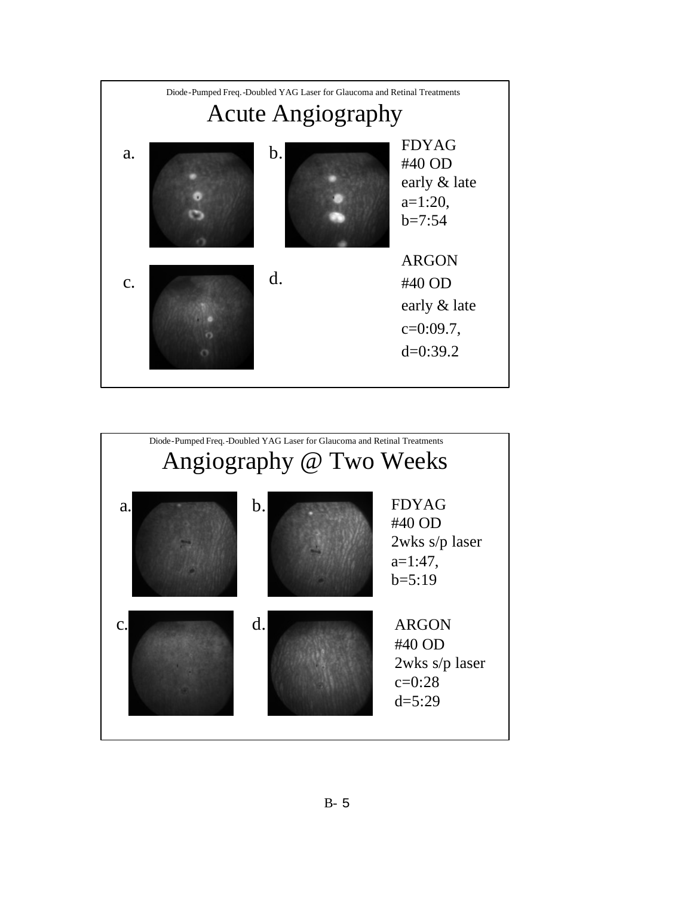

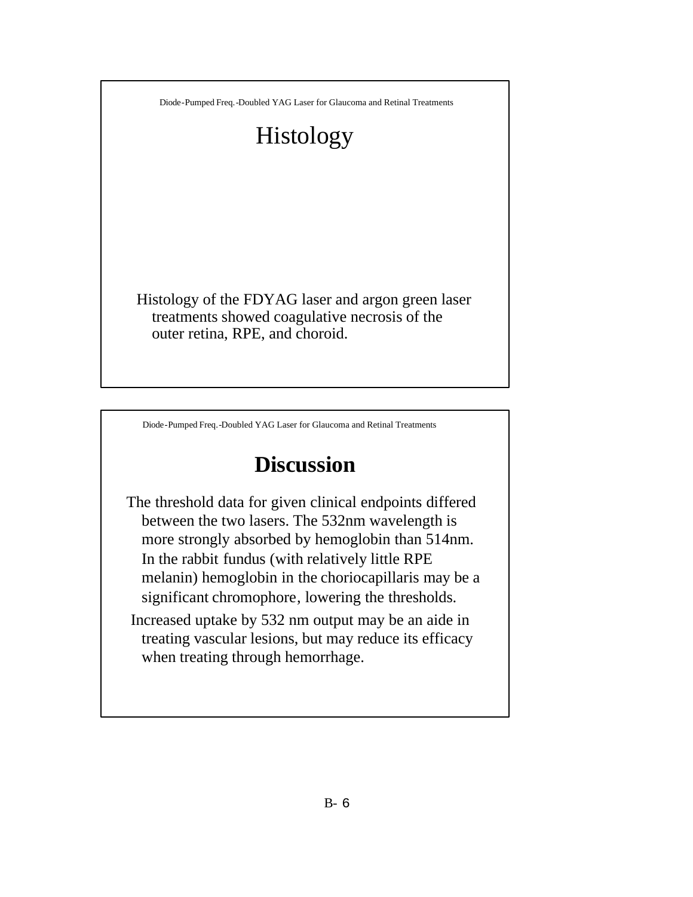# Histology

Histology of the FDYAG laser and argon green laser treatments showed coagulative necrosis of the outer retina, RPE, and choroid.

Diode-Pumped Freq.-Doubled YAG Laser for Glaucoma and Retinal Treatments

## **Discussion**

The threshold data for given clinical endpoints differed between the two lasers. The 532nm wavelength is more strongly absorbed by hemoglobin than 514nm. In the rabbit fundus (with relatively little RPE melanin) hemoglobin in the choriocapillaris may be a significant chromophore, lowering the thresholds.

Increased uptake by 532 nm output may be an aide in treating vascular lesions, but may reduce its efficacy when treating through hemorrhage.